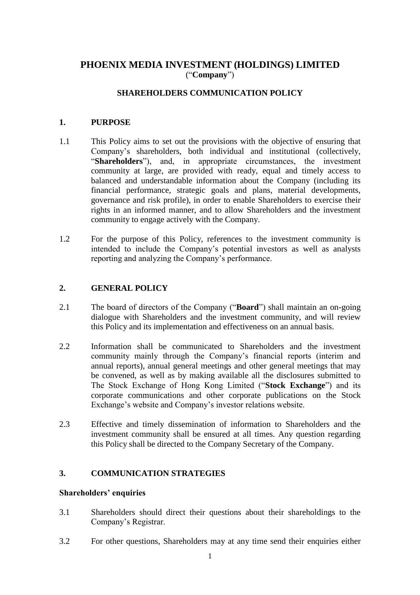# **PHOENIX MEDIA INVESTMENT (HOLDINGS) LIMITED** ("**Company**")

# **SHAREHOLDERS COMMUNICATION POLICY**

### **1. PURPOSE**

- 1.1 This Policy aims to set out the provisions with the objective of ensuring that Company's shareholders, both individual and institutional (collectively, "**Shareholders**"), and, in appropriate circumstances, the investment community at large, are provided with ready, equal and timely access to balanced and understandable information about the Company (including its financial performance, strategic goals and plans, material developments, governance and risk profile), in order to enable Shareholders to exercise their rights in an informed manner, and to allow Shareholders and the investment community to engage actively with the Company.
- 1.2 For the purpose of this Policy, references to the investment community is intended to include the Company's potential investors as well as analysts reporting and analyzing the Company's performance.

## **2. GENERAL POLICY**

- 2.1 The board of directors of the Company ("**Board**") shall maintain an on-going dialogue with Shareholders and the investment community, and will review this Policy and its implementation and effectiveness on an annual basis.
- 2.2 Information shall be communicated to Shareholders and the investment community mainly through the Company's financial reports (interim and annual reports), annual general meetings and other general meetings that may be convened, as well as by making available all the disclosures submitted to The Stock Exchange of Hong Kong Limited ("**Stock Exchange**") and its corporate communications and other corporate publications on the Stock Exchange's website and Company's investor relations website.
- 2.3 Effective and timely dissemination of information to Shareholders and the investment community shall be ensured at all times. Any question regarding this Policy shall be directed to the Company Secretary of the Company.

# **3. COMMUNICATION STRATEGIES**

### **Shareholders' enquiries**

- 3.1 Shareholders should direct their questions about their shareholdings to the Company's Registrar.
- 3.2 For other questions, Shareholders may at any time send their enquiries either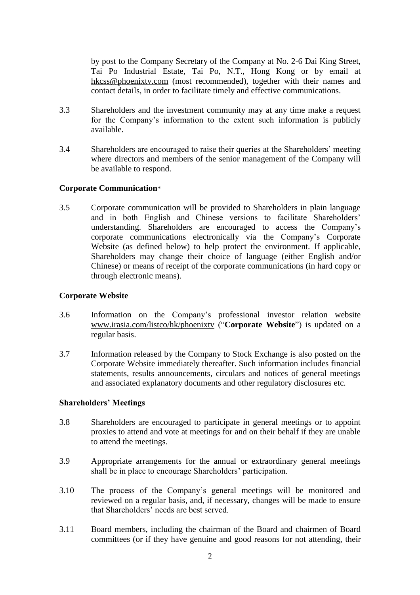by post to the Company Secretary of the Company at No. 2-6 Dai King Street, Tai Po Industrial Estate, Tai Po, N.T., Hong Kong or by email at hkcss@phoenixtv.com (most recommended), together with their names and contact details, in order to facilitate timely and effective communications.

- 3.3 Shareholders and the investment community may at any time make a request for the Company's information to the extent such information is publicly available.
- 3.4 Shareholders are encouraged to raise their queries at the Shareholders' meeting where directors and members of the senior management of the Company will be available to respond.

## **Corporate Communication**\*

3.5 Corporate communication will be provided to Shareholders in plain language and in both English and Chinese versions to facilitate Shareholders' understanding. Shareholders are encouraged to access the Company's corporate communications electronically via the Company's Corporate Website (as defined below) to help protect the environment. If applicable, Shareholders may change their choice of language (either English and/or Chinese) or means of receipt of the corporate communications (in hard copy or through electronic means).

## **Corporate Website**

- 3.6 Information on the Company's professional investor relation website www.irasia.com/listco/hk/phoenixtv ("**Corporate Website**") is updated on a regular basis.
- 3.7 Information released by the Company to Stock Exchange is also posted on the Corporate Website immediately thereafter. Such information includes financial statements, results announcements, circulars and notices of general meetings and associated explanatory documents and other regulatory disclosures etc.

#### **Shareholders' Meetings**

- 3.8 Shareholders are encouraged to participate in general meetings or to appoint proxies to attend and vote at meetings for and on their behalf if they are unable to attend the meetings.
- 3.9 Appropriate arrangements for the annual or extraordinary general meetings shall be in place to encourage Shareholders' participation.
- 3.10 The process of the Company's general meetings will be monitored and reviewed on a regular basis, and, if necessary, changes will be made to ensure that Shareholders' needs are best served.
- 3.11 Board members, including the chairman of the Board and chairmen of Board committees (or if they have genuine and good reasons for not attending, their